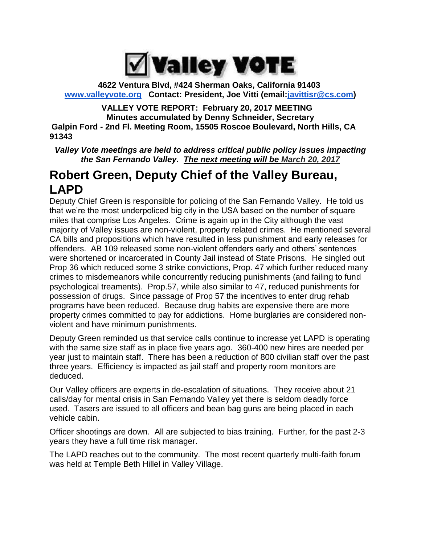

**4622 Ventura Blvd, #424 Sherman Oaks, California 91403 [www.valleyvote.org](http://www.valleyvote.org/) Contact: President, Joe Vitti (email[:javittisr@cs.com\)](mailto:javittisr@cs.com)**

**VALLEY VOTE REPORT: February 20, 2017 MEETING Minutes accumulated by Denny Schneider, Secretary Galpin Ford - 2nd Fl. Meeting Room, 15505 Roscoe Boulevard, North Hills, CA 91343**

*Valley Vote meetings are held to address critical public policy issues impacting the San Fernando Valley. The next meeting will be March 20, 2017*

# **Robert Green, Deputy Chief of the Valley Bureau, LAPD**

Deputy Chief Green is responsible for policing of the San Fernando Valley. He told us that we're the most underpoliced big city in the USA based on the number of square miles that comprise Los Angeles. Crime is again up in the City although the vast majority of Valley issues are non-violent, property related crimes. He mentioned several CA bills and propositions which have resulted in less punishment and early releases for offenders. AB 109 released some non-violent offenders early and others' sentences were shortened or incarcerated in County Jail instead of State Prisons. He singled out Prop 36 which reduced some 3 strike convictions, Prop. 47 which further reduced many crimes to misdemeanors while concurrently reducing punishments (and failing to fund psychological treaments). Prop.57, while also similar to 47, reduced punishments for possession of drugs. Since passage of Prop 57 the incentives to enter drug rehab programs have been reduced. Because drug habits are expensive there are more property crimes committed to pay for addictions. Home burglaries are considered nonviolent and have minimum punishments.

Deputy Green reminded us that service calls continue to increase yet LAPD is operating with the same size staff as in place five years ago. 360-400 new hires are needed per year just to maintain staff. There has been a reduction of 800 civilian staff over the past three years. Efficiency is impacted as jail staff and property room monitors are deduced.

Our Valley officers are experts in de-escalation of situations. They receive about 21 calls/day for mental crisis in San Fernando Valley yet there is seldom deadly force used. Tasers are issued to all officers and bean bag guns are being placed in each vehicle cabin.

Officer shootings are down. All are subjected to bias training. Further, for the past 2-3 years they have a full time risk manager.

The LAPD reaches out to the community. The most recent quarterly multi-faith forum was held at Temple Beth Hillel in Valley Village.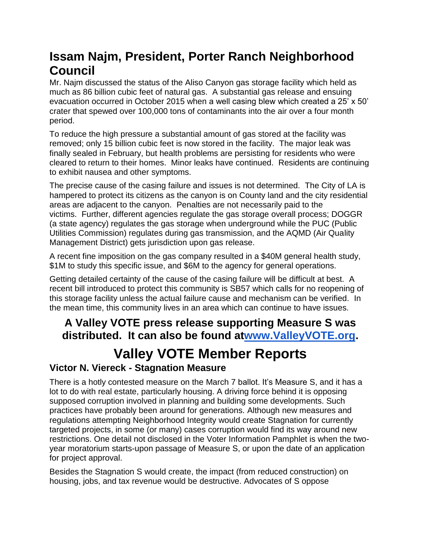# **Issam Najm, President, Porter Ranch Neighborhood Council**

Mr. Najm discussed the status of the Aliso Canyon gas storage facility which held as much as 86 billion cubic feet of natural gas. A substantial gas release and ensuing evacuation occurred in October 2015 when a well casing blew which created a 25' x 50' crater that spewed over 100,000 tons of contaminants into the air over a four month period.

To reduce the high pressure a substantial amount of gas stored at the facility was removed; only 15 billion cubic feet is now stored in the facility. The major leak was finally sealed in February, but health problems are persisting for residents who were cleared to return to their homes. Minor leaks have continued. Residents are continuing to exhibit nausea and other symptoms.

The precise cause of the casing failure and issues is not determined. The City of LA is hampered to protect its citizens as the canyon is on County land and the city residential areas are adjacent to the canyon. Penalties are not necessarily paid to the victims. Further, different agencies regulate the gas storage overall process; DOGGR (a state agency) regulates the gas storage when underground while the PUC (Public Utilities Commission) regulates during gas transmission, and the AQMD (Air Quality Management District) gets jurisdiction upon gas release.

A recent fine imposition on the gas company resulted in a \$40M general health study, \$1M to study this specific issue, and \$6M to the agency for general operations.

Getting detailed certainty of the cause of the casing failure will be difficult at best. A recent bill introduced to protect this community is SB57 which calls for no reopening of this storage facility unless the actual failure cause and mechanism can be verified. In the mean time, this community lives in an area which can continue to have issues.

# **A Valley VOTE press release supporting Measure S was distributed. It can also be found a[twww.ValleyVOTE.org.](http://www.valleyvote.org/)**

# **Valley VOTE Member Reports**

## **Victor N. Viereck - Stagnation Measure**

There is a hotly contested measure on the March 7 ballot. It's Measure S, and it has a lot to do with real estate, particularly housing. A driving force behind it is opposing supposed corruption involved in planning and building some developments. Such practices have probably been around for generations. Although new measures and regulations attempting Neighborhood Integrity would create Stagnation for currently targeted projects, in some (or many) cases corruption would find its way around new restrictions. One detail not disclosed in the Voter Information Pamphlet is when the twoyear moratorium starts-upon passage of Measure S, or upon the date of an application for project approval.

Besides the Stagnation S would create, the impact (from reduced construction) on housing, jobs, and tax revenue would be destructive. Advocates of S oppose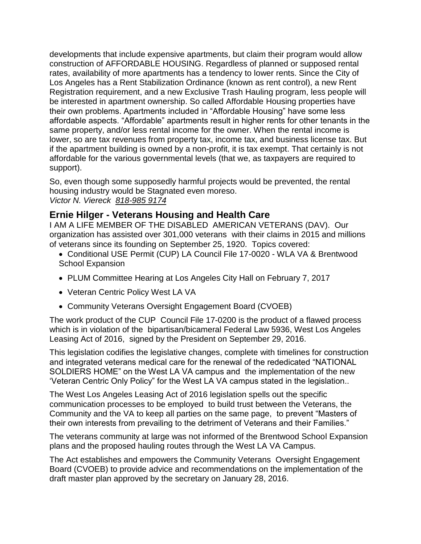developments that include expensive apartments, but claim their program would allow construction of AFFORDABLE HOUSING. Regardless of planned or supposed rental rates, availability of more apartments has a tendency to lower rents. Since the City of Los Angeles has a Rent Stabilization Ordinance (known as rent control), a new Rent Registration requirement, and a new Exclusive Trash Hauling program, less people will be interested in apartment ownership. So called Affordable Housing properties have their own problems. Apartments included in "Affordable Housing" have some less affordable aspects. "Affordable" apartments result in higher rents for other tenants in the same property, and/or less rental income for the owner. When the rental income is lower, so are tax revenues from property tax, income tax, and business license tax. But if the apartment building is owned by a non-profit, it is tax exempt. That certainly is not affordable for the various governmental levels (that we, as taxpayers are required to support).

So, even though some supposedly harmful projects would be prevented, the rental housing industry would be Stagnated even moreso. *Victor N. Viereck [818-985 9174](tel:%28818%29%20985-9174)*

### **Ernie Hilger - Veterans Housing and Health Care**

I AM A LIFE MEMBER OF THE DISABLED AMERICAN VETERANS (DAV). Our organization has assisted over 301,000 veterans with their claims in 2015 and millions of veterans since its founding on September 25, 1920. Topics covered:

- Conditional USE Permit (CUP) LA Council File 17-0020 WLA VA & Brentwood School Expansion
- PLUM Committee Hearing at Los Angeles City Hall on February 7, 2017
- Veteran Centric Policy West LA VA
- Community Veterans Oversight Engagement Board (CVOEB)

The work product of the CUP Council File 17-0200 is the product of a flawed process which is in violation of the bipartisan/bicameral Federal Law 5936, West Los Angeles Leasing Act of 2016, signed by the President on September 29, 2016.

This legislation codifies the legislative changes, complete with timelines for construction and integrated veterans medical care for the renewal of the rededicated "NATIONAL SOLDIERS HOME" on the West LA VA campus and the implementation of the new 'Veteran Centric Only Policy" for the West LA VA campus stated in the legislation..

The West Los Angeles Leasing Act of 2016 legislation spells out the specific communication processes to be employed to build trust between the Veterans, the Community and the VA to keep all parties on the same page, to prevent "Masters of their own interests from prevailing to the detriment of Veterans and their Families."

The veterans community at large was not informed of the Brentwood School Expansion plans and the proposed hauling routes through the West LA VA Campus.

The Act establishes and empowers the Community Veterans Oversight Engagement Board (CVOEB) to provide advice and recommendations on the implementation of the draft master plan approved by the secretary on January 28, 2016.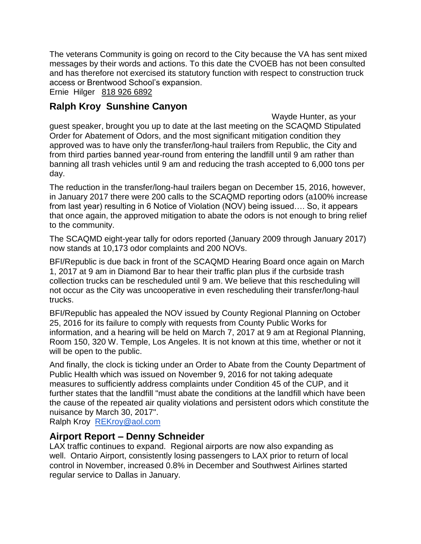The veterans Community is going on record to the City because the VA has sent mixed messages by their words and actions. To this date the CVOEB has not been consulted and has therefore not exercised its statutory function with respect to construction truck access or Brentwood School's expansion.

Ernie Hilger [818 926 6892](tel:%28818%29%20926-6892)

## **Ralph Kroy Sunshine Canyon**

Wayde Hunter, as your guest speaker, brought you up to date at the last meeting on the SCAQMD Stipulated Order for Abatement of Odors, and the most significant mitigation condition they approved was to have only the transfer/long-haul trailers from Republic, the City and from third parties banned year-round from entering the landfill until 9 am rather than banning all trash vehicles until 9 am and reducing the trash accepted to 6,000 tons per day.

The reduction in the transfer/long-haul trailers began on December 15, 2016, however, in January 2017 there were 200 calls to the SCAQMD reporting odors (a100% increase from last year) resulting in 6 Notice of Violation (NOV) being issued…. So, it appears that once again, the approved mitigation to abate the odors is not enough to bring relief to the community.

The SCAQMD eight-year tally for odors reported (January 2009 through January 2017) now stands at 10,173 odor complaints and 200 NOVs.

BFI/Republic is due back in front of the SCAQMD Hearing Board once again on March 1, 2017 at 9 am in Diamond Bar to hear their traffic plan plus if the curbside trash collection trucks can be rescheduled until 9 am. We believe that this rescheduling will not occur as the City was uncooperative in even rescheduling their transfer/long-haul trucks.

BFI/Republic has appealed the NOV issued by County Regional Planning on October 25, 2016 for its failure to comply with requests from County Public Works for information, and a hearing will be held on March 7, 2017 at 9 am at Regional Planning, Room 150, 320 W. Temple, Los Angeles. It is not known at this time, whether or not it will be open to the public.

And finally, the clock is ticking under an Order to Abate from the County Department of Public Health which was issued on November 9, 2016 for not taking adequate measures to sufficiently address complaints under Condition 45 of the CUP, and it further states that the landfill "must abate the conditions at the landfill which have been the cause of the repeated air quality violations and persistent odors which constitute the nuisance by March 30, 2017".

Ralph Kroy [REKroy@aol.com](mailto:REKroy@aol.com)

#### **Airport Report – Denny Schneider**

LAX traffic continues to expand. Regional airports are now also expanding as well. Ontario Airport, consistently losing passengers to LAX prior to return of local control in November, increased 0.8% in December and Southwest Airlines started regular service to Dallas in January.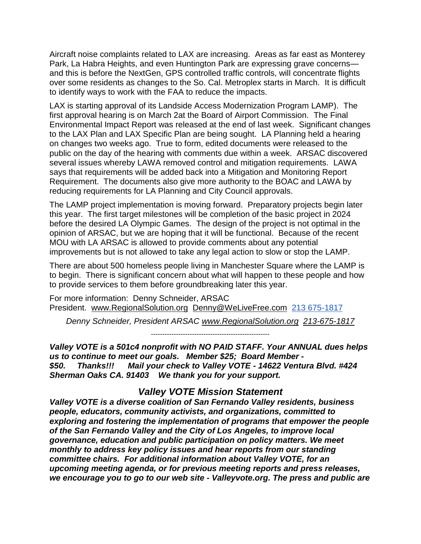Aircraft noise complaints related to LAX are increasing. Areas as far east as Monterey Park, La Habra Heights, and even Huntington Park are expressing grave concerns and this is before the NextGen, GPS controlled traffic controls, will concentrate flights over some residents as changes to the So. Cal. Metroplex starts in March. It is difficult to identify ways to work with the FAA to reduce the impacts.

LAX is starting approval of its Landside Access Modernization Program LAMP). The first approval hearing is on March 2at the Board of Airport Commission. The Final Environmental Impact Report was released at the end of last week. Significant changes to the LAX Plan and LAX Specific Plan are being sought. LA Planning held a hearing on changes two weeks ago. True to form, edited documents were released to the public on the day of the hearing with comments due within a week. ARSAC discovered several issues whereby LAWA removed control and mitigation requirements. LAWA says that requirements will be added back into a Mitigation and Monitoring Report Requirement. The documents also give more authority to the BOAC and LAWA by reducing requirements for LA Planning and City Council approvals.

The LAMP project implementation is moving forward. Preparatory projects begin later this year. The first target milestones will be completion of the basic project in 2024 before the desired LA Olympic Games. The design of the project is not optimal in the opinion of ARSAC, but we are hoping that it will be functional. Because of the recent MOU with LA ARSAC is allowed to provide comments about any potential improvements but is not allowed to take any legal action to slow or stop the LAMP.

There are about 500 homeless people living in Manchester Square where the LAMP is to begin. There is significant concern about what will happen to these people and how to provide services to them before groundbreaking later this year.

For more information: Denny Schneider, ARSAC President. [www.RegionalSolution.org](http://www.regionalsolution.org/) [Denny@WeLiveFree.com](mailto:Denny@WeLiveFree.com) [213 675-1817](tel:(213)%20675-1817)

*Denny Schneider, President ARSAC [www.RegionalSolution.org](http://www.regionalsolution.org/) [213-675-1817](tel:%28213%29%20675-1817)*

*----------------------------------------------------*

*Valley VOTE is a 501c4 nonprofit with NO PAID STAFF. Your ANNUAL dues helps us to continue to meet our goals. Member \$25; Board Member - \$50. Thanks!!! Mail your check to Valley VOTE - 14622 Ventura Blvd. #424 Sherman Oaks CA. 91403 We thank you for your support.* 

#### *Valley VOTE Mission Statement*

*Valley VOTE is a diverse coalition of San Fernando Valley residents, business people, educators, community activists, and organizations, committed to exploring and fostering the implementation of programs that empower the people of the San Fernando Valley and the City of Los Angeles, to improve local governance, education and public participation on policy matters. We meet monthly to address key policy issues and hear reports from our standing committee chairs. For additional information about Valley VOTE, for an upcoming meeting agenda, or for previous meeting reports and press releases, we encourage you to go to our web site - Valleyvote.org. The press and public are*